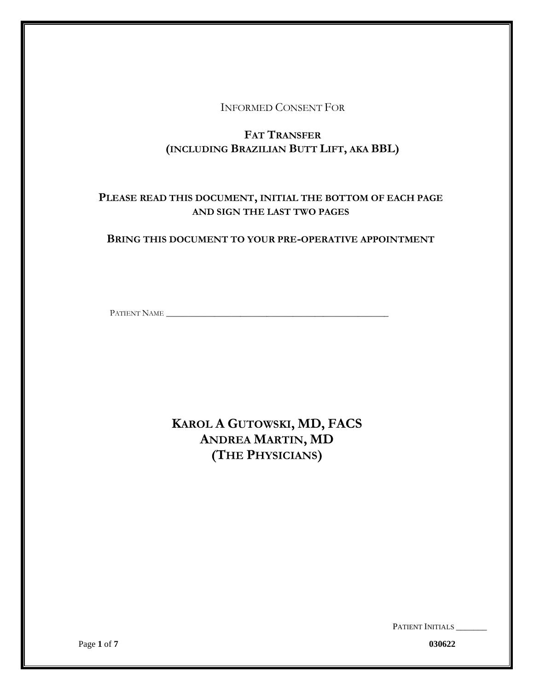INFORMED CONSENT FOR

# **FAT TRANSFER (INCLUDING BRAZILIAN BUTT LIFT, AKA BBL)**

# **PLEASE READ THIS DOCUMENT, INITIAL THE BOTTOM OF EACH PAGE AND SIGN THE LAST TWO PAGES**

## **BRING THIS DOCUMENT TO YOUR PRE-OPERATIVE APPOINTMENT**

PATIENT NAME

**KAROL A GUTOWSKI, MD, FACS ANDREA MARTIN, MD (THE PHYSICIANS)**

PATIENT INITIALS \_\_\_\_\_\_

Page **1** of **7 030622**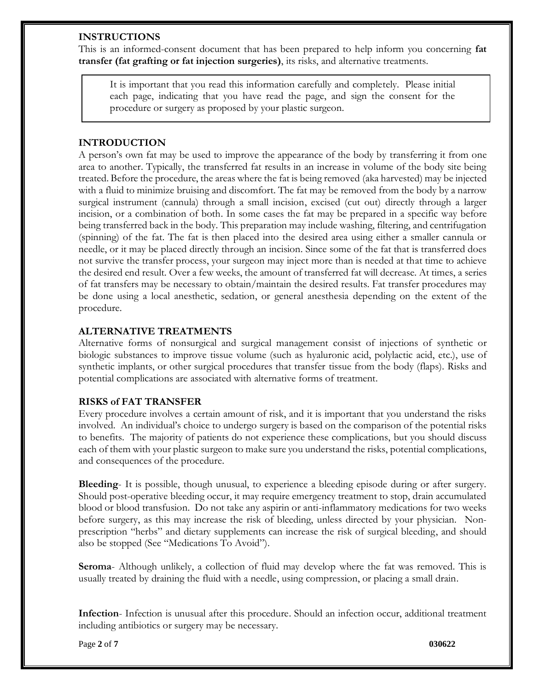### **INSTRUCTIONS**

This is an informed-consent document that has been prepared to help inform you concerning **fat transfer (fat grafting or fat injection surgeries)**, its risks, and alternative treatments.

It is important that you read this information carefully and completely. Please initial each page, indicating that you have read the page, and sign the consent for the procedure or surgery as proposed by your plastic surgeon.

## **INTRODUCTION**

A person's own fat may be used to improve the appearance of the body by transferring it from one area to another. Typically, the transferred fat results in an increase in volume of the body site being treated. Before the procedure, the areas where the fat is being removed (aka harvested) may be injected with a fluid to minimize bruising and discomfort. The fat may be removed from the body by a narrow surgical instrument (cannula) through a small incision, excised (cut out) directly through a larger incision, or a combination of both. In some cases the fat may be prepared in a specific way before being transferred back in the body. This preparation may include washing, filtering, and centrifugation (spinning) of the fat. The fat is then placed into the desired area using either a smaller cannula or needle, or it may be placed directly through an incision. Since some of the fat that is transferred does not survive the transfer process, your surgeon may inject more than is needed at that time to achieve the desired end result. Over a few weeks, the amount of transferred fat will decrease. At times, a series of fat transfers may be necessary to obtain/maintain the desired results. Fat transfer procedures may be done using a local anesthetic, sedation, or general anesthesia depending on the extent of the procedure.

### **ALTERNATIVE TREATMENTS**

Alternative forms of nonsurgical and surgical management consist of injections of synthetic or biologic substances to improve tissue volume (such as hyaluronic acid, polylactic acid, etc.), use of synthetic implants, or other surgical procedures that transfer tissue from the body (flaps). Risks and potential complications are associated with alternative forms of treatment.

## **RISKS of FAT TRANSFER**

Every procedure involves a certain amount of risk, and it is important that you understand the risks involved. An individual's choice to undergo surgery is based on the comparison of the potential risks to benefits. The majority of patients do not experience these complications, but you should discuss each of them with your plastic surgeon to make sure you understand the risks, potential complications, and consequences of the procedure.

**Bleeding**- It is possible, though unusual, to experience a bleeding episode during or after surgery. Should post-operative bleeding occur, it may require emergency treatment to stop, drain accumulated blood or blood transfusion. Do not take any aspirin or anti-inflammatory medications for two weeks before surgery, as this may increase the risk of bleeding, unless directed by your physician. Nonprescription "herbs" and dietary supplements can increase the risk of surgical bleeding, and should also be stopped (See "Medications To Avoid").

**Seroma**- Although unlikely, a collection of fluid may develop where the fat was removed. This is usually treated by draining the fluid with a needle, using compression, or placing a small drain.

**Infection**- Infection is unusual after this procedure. Should an infection occur, additional treatment including antibiotics or surgery may be necessary.

Page **2** of **7 030622**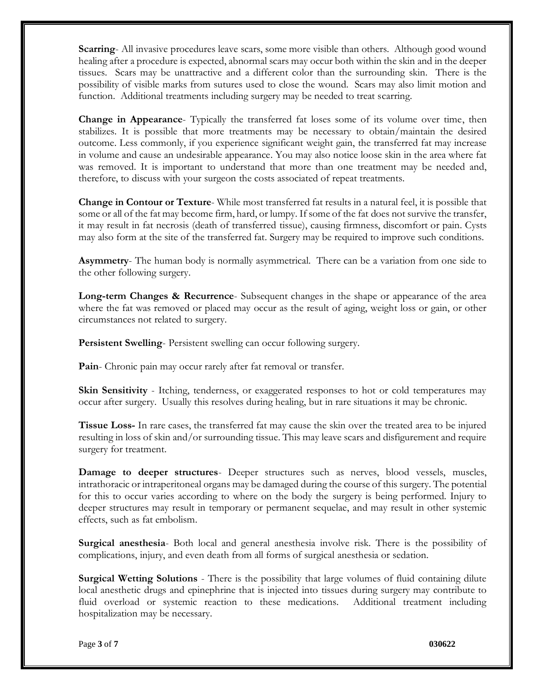**Scarring**- All invasive procedures leave scars, some more visible than others. Although good wound healing after a procedure is expected, abnormal scars may occur both within the skin and in the deeper tissues. Scars may be unattractive and a different color than the surrounding skin. There is the possibility of visible marks from sutures used to close the wound. Scars may also limit motion and function. Additional treatments including surgery may be needed to treat scarring.

**Change in Appearance**- Typically the transferred fat loses some of its volume over time, then stabilizes. It is possible that more treatments may be necessary to obtain/maintain the desired outcome. Less commonly, if you experience significant weight gain, the transferred fat may increase in volume and cause an undesirable appearance. You may also notice loose skin in the area where fat was removed. It is important to understand that more than one treatment may be needed and, therefore, to discuss with your surgeon the costs associated of repeat treatments.

**Change in Contour or Texture**- While most transferred fat results in a natural feel, it is possible that some or all of the fat may become firm, hard, or lumpy. If some of the fat does not survive the transfer, it may result in fat necrosis (death of transferred tissue), causing firmness, discomfort or pain. Cysts may also form at the site of the transferred fat. Surgery may be required to improve such conditions.

**Asymmetry**- The human body is normally asymmetrical. There can be a variation from one side to the other following surgery.

**Long-term Changes & Recurrence**- Subsequent changes in the shape or appearance of the area where the fat was removed or placed may occur as the result of aging, weight loss or gain, or other circumstances not related to surgery.

**Persistent Swelling**- Persistent swelling can occur following surgery.

**Pain**- Chronic pain may occur rarely after fat removal or transfer.

**Skin Sensitivity** - Itching, tenderness, or exaggerated responses to hot or cold temperatures may occur after surgery. Usually this resolves during healing, but in rare situations it may be chronic.

**Tissue Loss-** In rare cases, the transferred fat may cause the skin over the treated area to be injured resulting in loss of skin and/or surrounding tissue. This may leave scars and disfigurement and require surgery for treatment.

**Damage to deeper structures**- Deeper structures such as nerves, blood vessels, muscles, intrathoracic or intraperitoneal organs may be damaged during the course of this surgery. The potential for this to occur varies according to where on the body the surgery is being performed. Injury to deeper structures may result in temporary or permanent sequelae, and may result in other systemic effects, such as fat embolism.

**Surgical anesthesia**- Both local and general anesthesia involve risk. There is the possibility of complications, injury, and even death from all forms of surgical anesthesia or sedation.

**Surgical Wetting Solutions** - There is the possibility that large volumes of fluid containing dilute local anesthetic drugs and epinephrine that is injected into tissues during surgery may contribute to fluid overload or systemic reaction to these medications. Additional treatment including hospitalization may be necessary.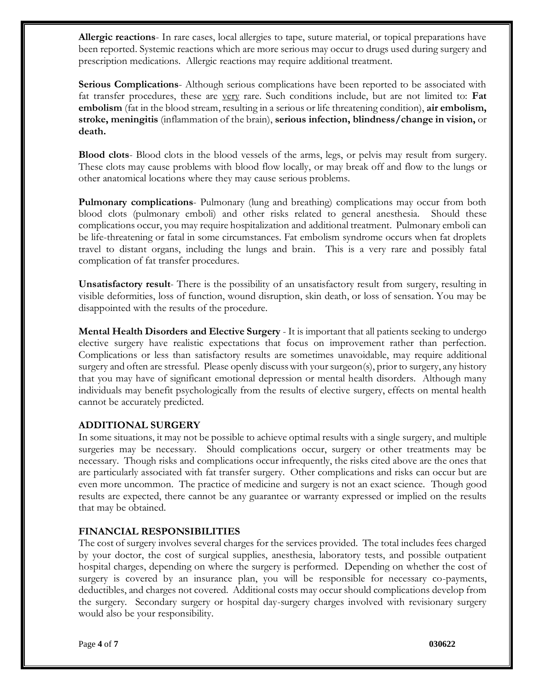**Allergic reactions**- In rare cases, local allergies to tape, suture material, or topical preparations have been reported. Systemic reactions which are more serious may occur to drugs used during surgery and prescription medications. Allergic reactions may require additional treatment.

**Serious Complications**- Although serious complications have been reported to be associated with fat transfer procedures, these are very rare. Such conditions include, but are not limited to: **Fat embolism** (fat in the blood stream, resulting in a serious or life threatening condition), **air embolism, stroke, meningitis** (inflammation of the brain), **serious infection, blindness/change in vision,** or **death.**

**Blood clots**- Blood clots in the blood vessels of the arms, legs, or pelvis may result from surgery. These clots may cause problems with blood flow locally, or may break off and flow to the lungs or other anatomical locations where they may cause serious problems.

**Pulmonary complications**- Pulmonary (lung and breathing) complications may occur from both blood clots (pulmonary emboli) and other risks related to general anesthesia. Should these complications occur, you may require hospitalization and additional treatment. Pulmonary emboli can be life-threatening or fatal in some circumstances. Fat embolism syndrome occurs when fat droplets travel to distant organs, including the lungs and brain. This is a very rare and possibly fatal complication of fat transfer procedures.

**Unsatisfactory result**- There is the possibility of an unsatisfactory result from surgery, resulting in visible deformities, loss of function, wound disruption, skin death, or loss of sensation. You may be disappointed with the results of the procedure.

**Mental Health Disorders and Elective Surgery** - It is important that all patients seeking to undergo elective surgery have realistic expectations that focus on improvement rather than perfection. Complications or less than satisfactory results are sometimes unavoidable, may require additional surgery and often are stressful. Please openly discuss with your surgeon(s), prior to surgery, any history that you may have of significant emotional depression or mental health disorders. Although many individuals may benefit psychologically from the results of elective surgery, effects on mental health cannot be accurately predicted.

## **ADDITIONAL SURGERY**

In some situations, it may not be possible to achieve optimal results with a single surgery, and multiple surgeries may be necessary. Should complications occur, surgery or other treatments may be necessary. Though risks and complications occur infrequently, the risks cited above are the ones that are particularly associated with fat transfer surgery. Other complications and risks can occur but are even more uncommon. The practice of medicine and surgery is not an exact science. Though good results are expected, there cannot be any guarantee or warranty expressed or implied on the results that may be obtained.

#### **FINANCIAL RESPONSIBILITIES**

The cost of surgery involves several charges for the services provided. The total includes fees charged by your doctor, the cost of surgical supplies, anesthesia, laboratory tests, and possible outpatient hospital charges, depending on where the surgery is performed. Depending on whether the cost of surgery is covered by an insurance plan, you will be responsible for necessary co-payments, deductibles, and charges not covered. Additional costs may occur should complications develop from the surgery. Secondary surgery or hospital day-surgery charges involved with revisionary surgery would also be your responsibility.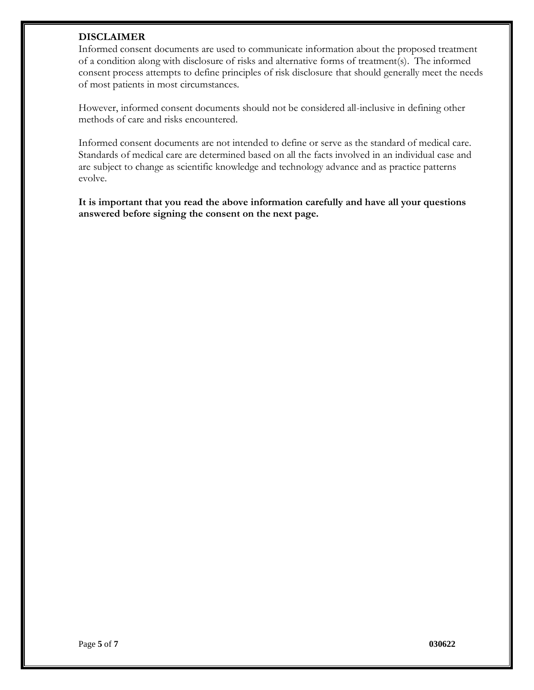### **DISCLAIMER**

Informed consent documents are used to communicate information about the proposed treatment of a condition along with disclosure of risks and alternative forms of treatment(s). The informed consent process attempts to define principles of risk disclosure that should generally meet the needs of most patients in most circumstances.

However, informed consent documents should not be considered all-inclusive in defining other methods of care and risks encountered.

Informed consent documents are not intended to define or serve as the standard of medical care. Standards of medical care are determined based on all the facts involved in an individual case and are subject to change as scientific knowledge and technology advance and as practice patterns evolve.

**It is important that you read the above information carefully and have all your questions answered before signing the consent on the next page.**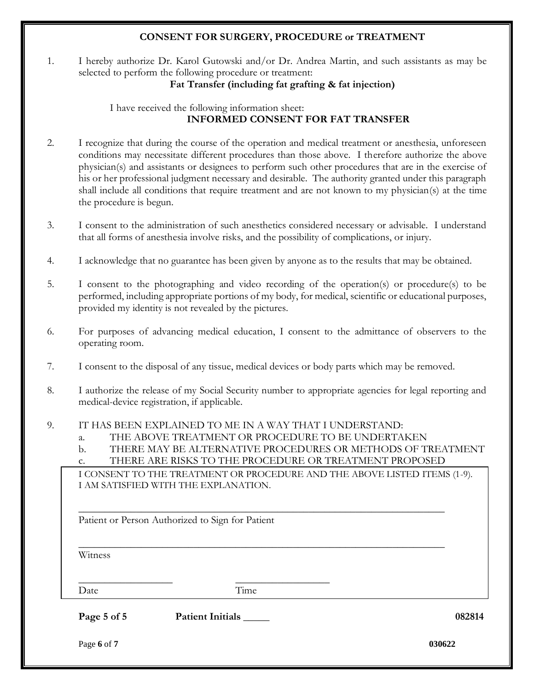## **CONSENT FOR SURGERY, PROCEDURE or TREATMENT**

1. I hereby authorize Dr. Karol Gutowski and/or Dr. Andrea Martin, and such assistants as may be selected to perform the following procedure or treatment:

## **Fat Transfer (including fat grafting & fat injection)**

I have received the following information sheet: **INFORMED CONSENT FOR FAT TRANSFER**

- 2. I recognize that during the course of the operation and medical treatment or anesthesia, unforeseen conditions may necessitate different procedures than those above. I therefore authorize the above physician(s) and assistants or designees to perform such other procedures that are in the exercise of his or her professional judgment necessary and desirable. The authority granted under this paragraph shall include all conditions that require treatment and are not known to my physician(s) at the time the procedure is begun.
- 3. I consent to the administration of such anesthetics considered necessary or advisable. I understand that all forms of anesthesia involve risks, and the possibility of complications, or injury.
- 4. I acknowledge that no guarantee has been given by anyone as to the results that may be obtained.
- 5. I consent to the photographing and video recording of the operation(s) or procedure(s) to be performed, including appropriate portions of my body, for medical, scientific or educational purposes, provided my identity is not revealed by the pictures.
- 6. For purposes of advancing medical education, I consent to the admittance of observers to the operating room.
- 7. I consent to the disposal of any tissue, medical devices or body parts which may be removed.
- 8. I authorize the release of my Social Security number to appropriate agencies for legal reporting and medical-device registration, if applicable.
- 9. IT HAS BEEN EXPLAINED TO ME IN A WAY THAT I UNDERSTAND:
	- a. THE ABOVE TREATMENT OR PROCEDURE TO BE UNDERTAKEN
	- b. THERE MAY BE ALTERNATIVE PROCEDURES OR METHODS OF TREATMENT
	- c. THERE ARE RISKS TO THE PROCEDURE OR TREATMENT PROPOSED

\_\_\_\_\_\_\_\_\_\_\_\_\_\_\_\_\_\_\_\_\_\_\_\_\_\_\_\_\_\_\_\_\_\_\_\_\_\_\_\_\_\_\_\_\_\_\_\_\_\_\_\_\_\_\_\_\_\_\_\_\_\_\_\_\_\_\_\_\_\_

\_\_\_\_\_\_\_\_\_\_\_\_\_\_\_\_\_\_\_\_\_\_\_\_\_\_\_\_\_\_\_\_\_\_\_\_\_\_\_\_\_\_\_\_\_\_\_\_\_\_\_\_\_\_\_\_\_\_\_\_\_\_\_\_\_\_\_\_\_\_

I CONSENT TO THE TREATMENT OR PROCEDURE AND THE ABOVE LISTED ITEMS (1-9). I AM SATISFIED WITH THE EXPLANATION.

Patient or Person Authorized to Sign for Patient

Witness

\_\_\_\_\_\_\_\_\_\_\_\_\_\_\_\_\_\_ \_\_\_\_\_\_\_\_\_\_\_\_\_\_\_\_\_\_ Date Time

**Page 5 of 5 Patient Initials \_\_\_\_\_ 082814**

Page **6** of **7 030622**